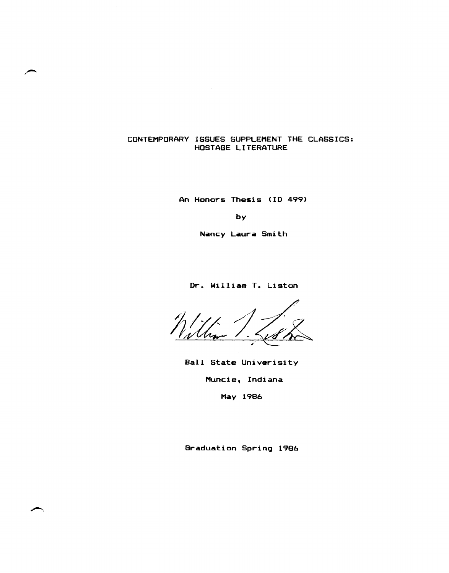# CONTEMPORARY ISSUES SUPPLEMENT THE CLASSICS: HOSTAGE LITERATURE

An Honors Thesis (10 499)

by

Nancy Laura Smith

Or. William T. Liston

Ball State Univarisity Muncie, Indiana May 1986

Graduation Spring 1986

~.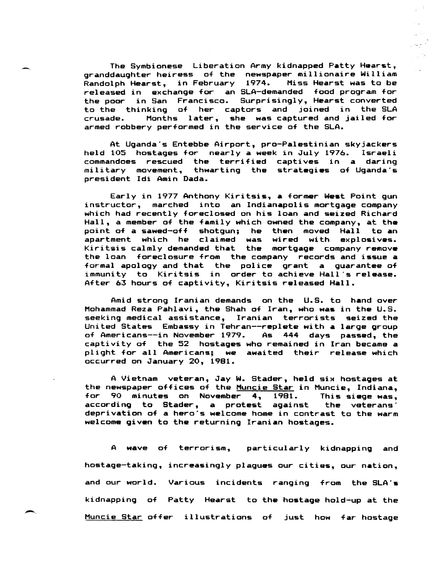The Symbionese Liberation Army kidnapped Patty Hearst, granddaughter heiress of the newspaper millionaire William Randolph Hearst, in February 1974. Miss Hearst was to be released in exchange for an SLA-demanded food program for the poor in San Francisco. Surprisingly, Hearst converted to the thinking of her captors and joined in the SLA crusade. Months later, she was captured and jailed for armed robbery performed in the service of the SLA.

At Uganda's Entebbe Airport, pro-Palestinian skyjackers held 105 hostages for nearly a week in July 1976. Israeli commandoes rescued the terrified captives in a daring military movement, thwarting the strategies of Uganda's president Idi Amin Dada.

Early in 1977 Anthony Kiritsis, a former West Point gun instructor, marched into an Indianapolis mortgage company which had recently foreclosed on his loan and seized Richard Hall, a member of the family which owned the company, at the point of a sawed-off shotgun; he then moved Hall to an apartment which he claimed was wired with explosives. Kiritsis calmly demanded that the mortgage company remove the loan foreclosure from the company records and issue a formal apology and that the police grant a guarantee of immunity to Kiritsis in order to achieve Hall's release. After 63 hours of captivity, Kiritsis released Hall.

Amid strong Iranian demands on the U.S. to hand over Mohammad Reza Pahlavi, the Shah of Iran, who was in the U.S. seeking medical assistance, Iranian terrorists seized the United States Embassy in Tehran--replete with a large group of Americans--in November 1979. As 444 days passed, the captivity of the 52 hostages who remained in Iran became a plight for all Americans; we awaited their release which occurred on January 20, 1981.

A Vietnam veteran, Jay W. Stader, held six hostages at the newspaper offices of the <u>Muncie Star</u> in Muncie, Indiana,<br>for 90 minutes on November 4, 1981. This siege was, for 90 minutes on November 4, 1981. according to Stader, a protest against the veterans' deprivation of a hero's welcome home in contrast to the warm welcome given to the returning Iranian hostages.

A wave of terrorism, particularly kidnapping and hostage-taking, increasingly plagues our cities, our nation, and our world. Various incidents ranging from the SLA's kidnapping of Patty Hearst to the hostage hold-up at the Muncie Star offer illustrations of just how far hostage

 $\rightarrow$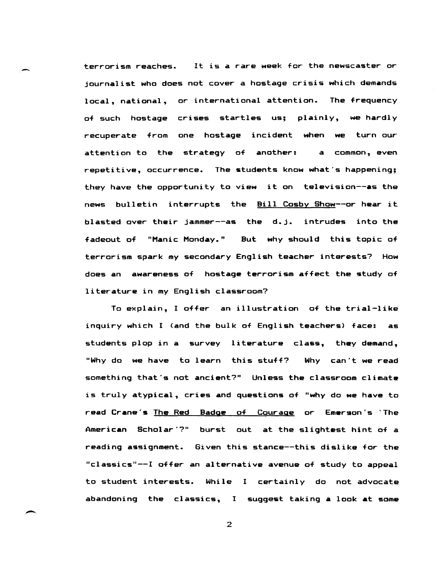terrorism reaches. It is a rare week for the newscaster or journalist who does not cover a hostage crisis which demands local, national, or international attention. The frequency of such hostage crises startles us; plainly, we hardly recuperate from one hostage incident when we turn our attention to the strategy of another: a common, even repetitive, occurrence. The students know what's happening; they have the opportunity to view it on television--as the news bulletin interrupts the Bill Cosby Show--or hear it blasted over their jammer--as the d.j. intrudes into the fadeout of "Manic Monday." But why should this topic of terrorism spark my secondary English teacher interests? How does an awareness of hostage terrorism affect the study of literature in my English classroom?

To explain, I offer an illustration of the trial-like inquiry which I (and the bulk of English teachers) face: as students plop in a survey literature class, they demand, "Why do we have to learn this stuff? Why can't we read something that's not ancient?" Unless the classroom climate is truly atypical, cries and questions of "why do we have to read Crane's The Red Badge of Courage or Emerson's 'The American Scholar'?" burst out at the slightest hint of a reading assignment. Given this stance--this dislike for the "classics"--I offer an alternative avenue of study to appeal to student interests. While I certainly do not advocate abandoning the claSSics, I suggest taking a look at some

2

-.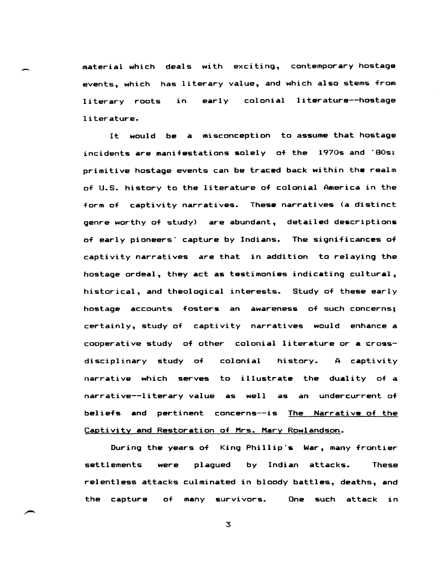material which deals with exciting, contemporary hostage events, which has literary value, and which also stems from literary roots literature. early colonial literature--hostage

It would be a misconception to assume that hostage incidents are manifestations solely of the 1970s and '80s: primitive hostage events can be traced back within the realm of U.S. history to the literature of colonial America in the form of captivity narratives. These narratives (a distinct genre worthy of study) are abundant, detailed descriptions of early pioneers' capture by Indians. The significances of captivity narratives are that in addition to relaying the hostage ordeal, they act as testimonies indicating cultural, historical, and theological interests. Study of these early hostage accounts fosters an awareness of such concerns; certainly, study of captivity narratives would enhance a cooperative study of other colonial literature or a crossdisciplinary study of colonial history. A captivity narrative which serves to illustrate the duality of a narrative--literary value as well as an undercurrent of beliefs and pertinent concerns--is The Narrative of the Captivity and Restoration of Mrs. Mary Rowlandson.

During the years of King Phillip's War, many frontier settlements were plagued by Indian attacks. These relentless attacks culminated in bloody battles, deaths, and the capture of many survivors. One such attack in

3

.-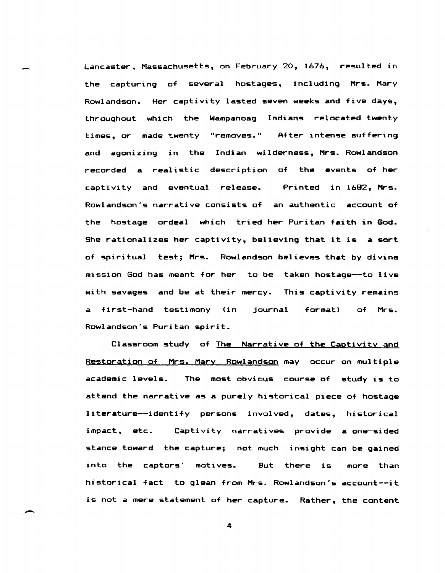Lancaster, Massachusetts, on February 20, 1676, resulted in the capturing of several hostages, including Mrs. Mary Rowlandson. Her captivity lasted seven weaks and five days, throughout which the Wampanoag Indians relocated twenty times, or made twenty "removes." After intense suffering and agonizing in the Indian wilderness, Mrs. Rowlandson recorded a realistic description of the events of her captivity and eventual release. Printed in 1682, Mrs. Rowlandson's narrative consists of an authentic account of the hostage ordeal which tried her Puritan faith in God. She rationalizes her captivity, believing that it is a sort of spiritual test; Mrs. Rowlandson believes that by divine mission God has meant for her to be taken hostage--to live with savages and be at their mercy. This captivity remains a first-hand testimony <in journal format) of Mrs. Rowlandson's Puritan spirit.

Classroom study of The Narrative of the Captivity and Restoration of Mrs. Mary Rowlandson may occur on multiple academic levels. The most obvious course of study is to attend the narrative as a purely historical piece of hostage literature--identify persons involved, dates, historical impact, etc. Captivity narratives provide a one-sided stance toward the capture; not much insight can be gained into the captors' motives. But there is more than historical fact to glean from Mrs. Rowlandson's account--it is not a mere statement of her capture. Rather, the content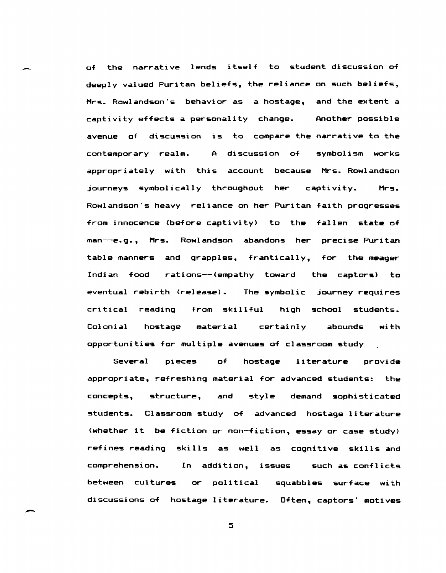of the narrative lends itself to student discussion of deeply valued Puritan beliefs, the reliance on such beliefs, Mrs. Rowlandson's behavior as a hostage, and the extent a captivity effects a per<mark>son</mark>ality change. Anoth**e**r possible avenue of discussion is to compare the narrative to the contemporary realm. A discussion of symbolism works appropriately with this account because Mrs. Rowlandson journeys symbolically throughout her captivity. Mrs. Rowlandson's heavy reliance on her Puritan faith progresses from innocence (before captivity) to the fallen state of man--e.g., Mrs. Rowlandson abandons her precise Puritan table manners and grapples, frantically, for the meager Indian food rations--(empathy toward the captors) to eventual rebirth (release). The symbolic journey requires critical reading from skillful high school students. Colonial hostage material certainly abounds with opportunities for multiple avenues of classroom study

Several pieces of hostage literature provide appropriate, refreshing material for advanced students: the concepts, structure, and style demand sophisticated students. Classroom study of advanced hostage literature (whether it be fiction or non-fiction, essay or case study) refines reading skills as well as cognitive skills and comprehension. In addition, issues such as conflicts between cultures or political discussions of hostage literature. Often, captors' motives squabbles surface with

5

-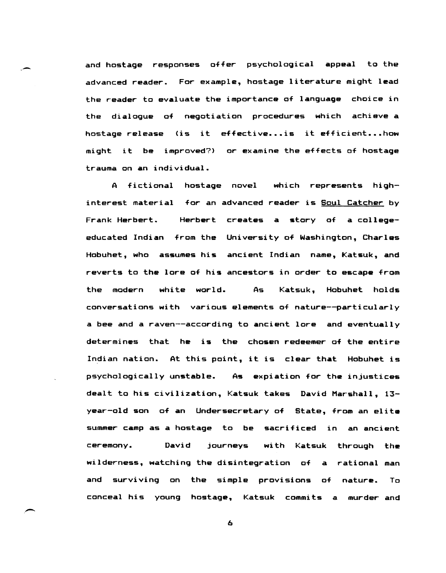and hostage responses offer psychological appeal to the advanced reader. For example, hostage literature might lead the reader to evaluate the importance of language choice in the dialogue of negotiation procedures which achieve a hostage release (is it effective...is it efficient...how might it be improved?) or examine the effects of hostage trauma on an individual.

A fictional hostage novel which represents highinterest material for an advanced reader is Soul Catcher by Frank Herbert. Herbert creates a story of a collegeeducated Indian from the University of Washington, Charles Hobuhet, who assumes his ancient Indian name, Katsuk, and reverts to the lore of his ancestors in order to escape from the modern white world. As Katsuk, Hobuhet holds conversations with various elements of nature--particularly a bee and a raven--according to ancient lore and eventually determines that he is the chosen redeemer of the entire Indian nation. At this point, it is clear that Hobuhet is psychologically unstable. As expiation for the injustices dealt to his civilization, Katsuk takes David Marshall, 13 year-old son of an Undersecretary of State, from an elite summer camp as a hostage to be sacrificed in an ancient ceremony. David journeys with Katsuk through the wilderness, watching the disintegration of a rational man and surviving on the simple provisions of nature. To conceal his young hostage, Katsuk commits a murder and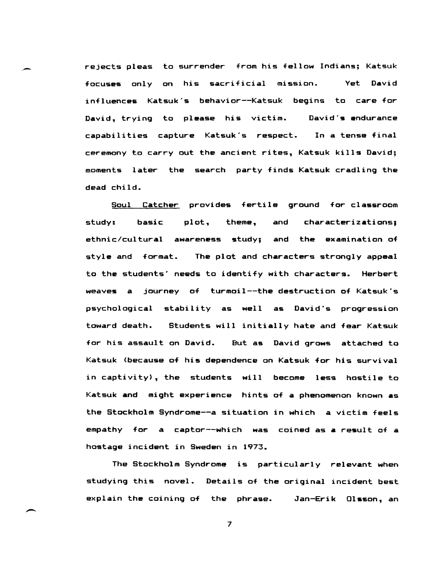rejects pleas to surrender from his fellow Indians; Katsuk focuses only on his sacrificial mission. Yet David influences Katsuk's behavior--Katsuk begins to care for David, trying to please his victim. capabilities capture Katsuk's respect. David's endurance In a tense final ceremony to carry out the ancient rites, Katsuk kills David; moments later the search party finds Katsuk cradling the dead child.

.-

--

Soul Catcher provides fertile ground for classroom  $study:$  basic plot, theme, and characterizations: ethnic/cultural awareness study; and the examination of style and format. The plot and characters strongly appeal to the students' needs to identify with characters. Herbert weaves a journey of turmoil--the destruction of Katsuk's psychological stability as well as David's progression toward death. Students will initially hate and fear Katsuk for his assault on David. But as David grows attached to Katsuk (because of his dependence on Katsuk for his survival in captivity), the students will become less hostile to Katsuk and might experience hints of a phenomenon known as the Stockholm Syndrome--a situation in which a victim feels empathy for a captor--which was coined as a result of a hostage incident in Sweden in 1973.

The Stockholm Syndrome is particularly relevant when studying this novel. Details of the original incident best explain the coining of the phrase. Jan-Erik Olsson, an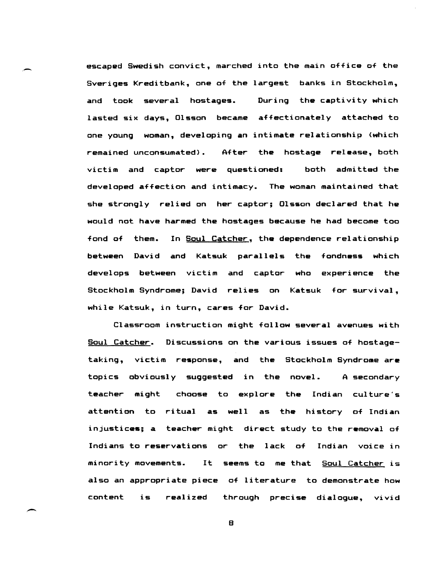escaped Swedish convict, marched into the main office of the Sveriges Kreditbank, one of the largest banks in Stockholm, and took several hostages. During the captivity which lasted six days, Olsson became affectionately attached to one young woman, developing An intimate relationship <which remained unconsumated). After the hostage release, both victim and captor were questioned: both admitted the developed affection and intimacy. The woman maintained that she strongly relied on her captor; 01s50n declared that he would not have harmed the hostages because he had become too fond of them. In Soul Catcher, the dependence relationship between David and Katsuk parallels the fondness which develops between victim and captor who experience the Stockholm Syndrome; David relies on Katsuk for survival, while Katsuk, in turn, cares for David.

Classroom instruction might follow several avenues with Soul Catcher. Discussions on the various issues of hostagetaking, victim response, and the Stockholm Syndrome are topics obviously suggested in the novel. A secondary teacher might choose to explore the Indian culture's attention to ritual as well as the history of Indian injustices; a teacher might direct study to the removal of Indians to reservations or the lack of Indian voice in minority movements. It seems to me that Soul Catcher is also an appropriate piece of literature to demonstrate how content is realized through precise dialogue, vivid

B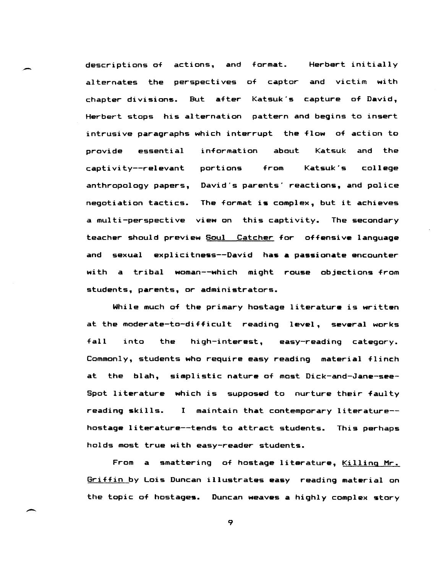descriptions of actions, and format. Herbert initially alternates the perspectives of captor and victim with chapter divisions. But after Katsuk's capture of David, Herbert stops his alternation pattern and begins to insert intrusive paragraphs which interrupt the flow of action to provide essential information about Katsuk and the captivity--relevant portions from Katsuk's college anthropology papers, David's parents' reactions, and police negotiation tactics. The format is complex, but it achieves a multi-perspective view on this captivity. The secondary teacher should preview Soul Catcher for offensive language and sexual explicitness--David has a passionate encounter with a tribal woman--which might rouse objections from students, parents, or administrators.

While much of the primary hostage literature is written at the moderate-to-difficult reading level, several works fall into the high-interest, easy-reading category. Commonly, students who require easy reading material flinch at the blah, simplistic nature of most Dick-and-Jane-see-Spot literature which is supposed to nurture their faulty reading skills. I maintain that contemporary literature- hostage literature--tends to attract students. This perhaps holds most true with easy-reader students.

From a smattering of hostage literature, Killing Mr. Griffin by Lois Duncan illustrates easy reading material on the topic of hostages. Duncan weaves a highly complex story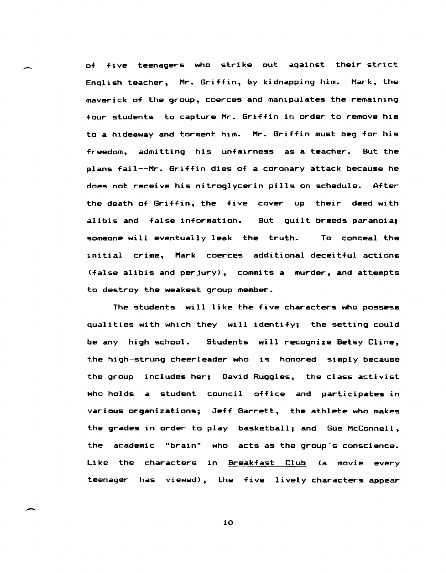of five teenagers who strike out against their strict English teacher, Mr. Griffin, by kidnapping him. Mark, the maverick of the group, coerces and manipulates the remaining four students to capture Mr. Griffin in order to remove him to a hideaway and torment him. Mr. Griffin must beg for his freedom, admitting his unfairness as a teacher. But the plans fail--Mr. Griffin dies of a coronary attack because he does not receive his nitroglycerin pills on schedule. After the death of Griffin, the five cover up their deed with alibis and false information. But guilt breeds paranoia; someone will eventually leak the truth. To conceal the initial crime, Mark coerces additional deceitful actions (false alibis and perjury), commits a murder, and attempts to destroy the weakest group member.

The students will like the five characters who possess qualities with which they will identify; the setting could be any high school. Students will recognize Betsy Cline, the high-strung cheerleader who is honored simply because the group includes her; David Ruggles, the class activist who holds a student council office and participates in various organizations; Jeff Garrett, the athlete who makes the grades in order to play basketball; and Sue McConnell, the academic "brain" who acts as the group's conscience. Like the characters in Breakfast Club (a movie every teenager has viewed), the five lively characters appear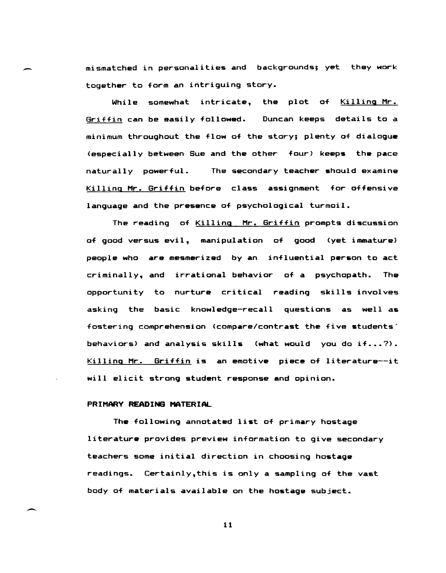mismatched in personalities and backgrounds; yet they work together to form an intriguing story.

While somewhat intricate, the plot of Killing Mr. Griffin can be easily followed. Duncan keeps details to a minimum throughout the flow of the story; plenty of dialogue (especially between Sue and the other four) keeps the pAce naturally powerful. The secondary teacher should examine Killing Mr. Griffin before class assignment for offensive language and the presence of psychological turmoil.

The reading of Killing Mr. Griffin prompts discussion of good versus evil, manipulation of good (yet immature) people who are mesmerized by an influential person to act criminally, and irrational behavior of a psychopath. The opportunity to nurture critical reading skills involves asking the basic knowledge-recall questions as well as fostering comprehension (compare/contrast the five students' behaviors) and analysis skills (what would you do if...?). Killing Mr. Griffin is an emotive piece of literature--it will elicit strong student response and opinion.

# PRIMARY READING MATERIAL

.-

 $\overline{\phantom{0}}$ 

The following annotated list of primary hostage literature provides preview information to give secondary teachers some initial direction in choosing hostage readings. Certainly,this is only a sampling of the vast body of materials available on the hostage subject.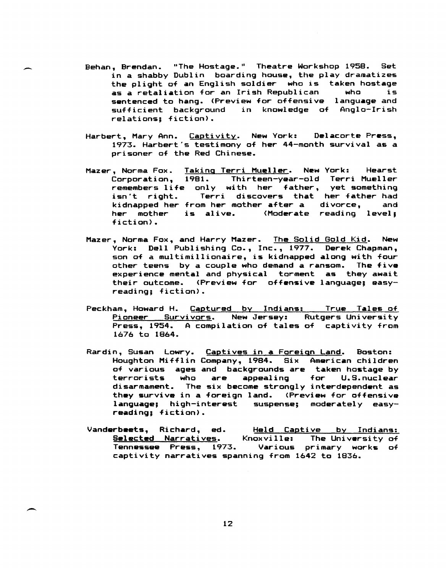Behan, Brendan. "The Hostage." Theatre Workshop 1958. Set in a shabby Dublin boarding house, the play dramatizes the plight of an English soldier who is taken hostage<br>as a retaliation for an Irish Republican – who – is as a retaliation for an Irish Republican sentenced to hang. (Preview for offensive language and sufficient background in knowledge of Anglo-Irish relations; fiction).

 $\overline{\phantom{0}}$ 

 $\overline{\phantom{a}}$ 

- Harbert, Mary Ann. Captivity. New York: Delacorte Press, 1973. Harbert's testimony of her 44-month survival as a prisoner of the Red Chinese.
- Mazer, Norma Fox. Corporation, 1981. Thirteen-year-old Terri Mueller remembers life only with her father, yet something isn't right. kidnapped her from her mother after a divorce, and her mother is alive. fiction) • Taking Terri Mueller. New York: Hearst Terri discovers that her-father-had<br>com-her-mother-after-a-cdivorce. and (Moderate reading level;
- Mazer, Norma Fox, and Harry Mazer. The Solid Gold Kid. New York: Dell Publishing Co., Inc., 1977. Derek Chapman, son of a multimillionaire, is kidnapped along with four other teens by a couple who demand a ransom. The five experience mental and physical torment as they await their outcome. (Preview for offensive language; easyreading; fiction).
- Peckham, Howard H. Captured by Indians: True Tales of Pioneer Survivors. New Jersey: Rutgers University Press, 1954. A compilation of tales of captivity from 1676 to 1864.
- Rardin, Susan Lowry. Captives in a Foreign Land. Boston: Houghton Mifflin Company, 1984. Six American children of various ages and backgrounds are taken hostage by<br>terrorists who are appealing for U.S.nuclear terrorists who are appealing for disarmament. The six become strongly interdependent as they survive in a foreign land. (Preview for offensive language; high-interest suspense; moderately easyreading; fiction).
- Vanderbeets, Richard, ed. Selected Narratives. Knoxville: The University of Tennessee Press, 1973. captivity narratives spanning from 1642 to 1836. Held Captive by Indians: Various primary works of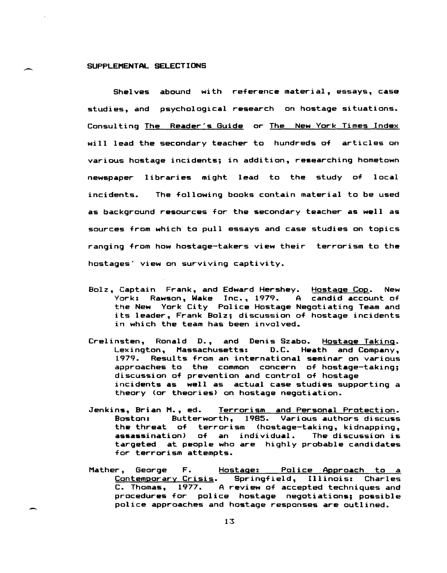# SUPPLEMENTAL SELECTIONS

Shelves abound with reference material, essays, case studies, and psychological research on hostage situations. Consulting The Reader's Guide or The New York Times Index will lead the secondary teacher to hundreds of articles on various hostage incidents; in addition, researching hometown newspaper libraries might lead to the study of local incidents. The following books contain material to be used as background resources for the secondary teacher as well as sources from which to pull essays and case studies on topics ranging from how hostage-takers view their terrorism to the hostages' view on surviving captivity.

- Bolz, Captain Frank, and Edward Hershey. Hostage Cop. New York: Rawson, Wake Inc., 1979. A candid account of the New York City Police Hostage Negotiating Team and its leader, Frank Bolz; discussion of hostage incidents in which the team has been involved.
- Crelinsten, Ronald D., and Denis Szabo. Hostage Taking. Lexington, Massachusetts: D.C. Heath and Company, 1979. Results from an international seminar on various approaches to the common concern of hostage-taking; discussion of prevention and control of hostage incidents as well as actual case studies supporting a theory (or theories) on hostage negotiation.
- Jenkins, Brian M., ed. Terrorism and Personal Protection. Boston: Butterworth, 1985. Various authors discuss the threat of terrorism (hostage-taking, kidnapping, assassination) of an individual. The discussion is targeted at people who are highly probable candidates for terrorism attempts.
- Mather, George F. Hostage: Police Approach to a Contemporary Crisis. Springfield, Illinois: Charles C. Thomas, 1977. A review of accepted techniques and procedures for police hostage negotiations; possible police approaches and hostage responses are outlined.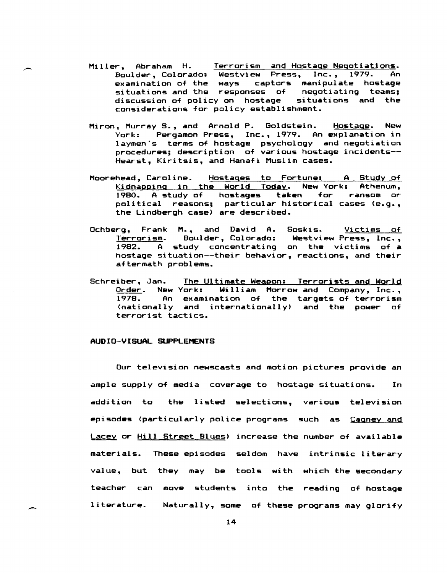- Miller, Abraham H. Terrorism and Hostage Negotiations. Boulder, Colorado: Westview Press, Inc., 1979. An examination of the ways captors manipulate hostage situations and the responses of negotiating teams; discussion of policy on hostage situations and the considerations for policy establishment.
- Miron, Murray S., and Arnold P. Goldstein. Hostage. New York: Pergamon Press, Inc., 1979. An explanation in laymen's terms of hostage psychology and negotiation procedures; description of various hostage incidents-- Hearst, Kiritsis, and Hanafi Muslim cases.
- Moorehead, Caroline. Hostages to Fortune: A Study of Kidnapping in the World Today. New Yorke Athenum, 1980. A study of hostages taken for ransom or political reasons; particular historical cases (e.g., the Lindbergh case) are described.
- Ochberg, Frank M., and David A. Soskis. Victims of Terrorism. Boulder, Colorado: Westview Press, Inc., A study concentrating on the victims of a hostage situation--their behavior, reactions, and their aftermath problems.
- Schreiber, Jan. The Ultimate Weapon: Terrorists and World Order. New York: William Morrow and Company, Inc., 1978. An examination of the targets of terrorism An examination of the targets of terrorism (nationally and internationally) and the power of terrorist tactics.

#### AUDIO-VISUAL SUPPLEMENTS

Our television newscasts and motion pictures provide an ample supply of media coverage to hostage situations. In addition to the listed selections, various television episodes (particularly police programs such as Cagney and Lacey or Hill Street Blues) increase the number of available materials. These episodes seldom have intrinsic literary value, but they may be tools with which the secondary teacher can move students into the reading of hostage literature. Naturally, some of these programs may glorify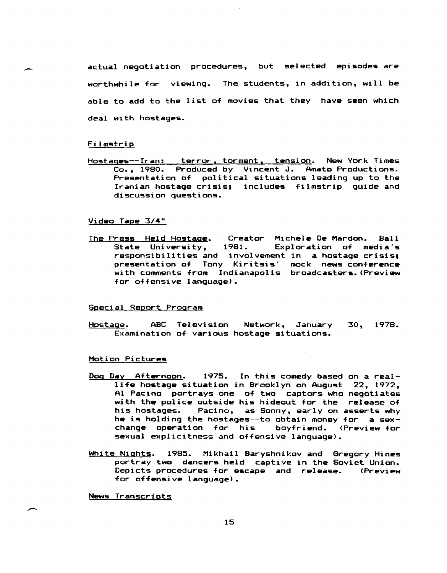actual negotiation procedures, but selected episodes are worthwhile for viewing. The students, in addition, will be able to add to the list of movies that they have seen which deal with hostages.

### **Filmstrip**

Hostages--Iran: terror, torment, tension. New York Times Co., 1980. Produced by Vincent J. Amato Productions. Presentation of political situations leading up to the Iranian hostage crisis; includes filmstrip guide and discussion questions.

### Video Tape 3/4"

The Press Held Hostage. Creator Michele De Mardon. Ball<br>State University, 1981. Exploration of media's 1981. Exploration of media's responsibilities and involvement in a hostage crisis; presentation of Tony Kiritsis' mock news conference with comments from Indianapolis broadcasters. (Preview for offensive language).

### Special Report Program

Hostage. ABC Television Network, January 30, 1978. Examination of various hostage situations.

#### Motion Pictures

- Dog Day Afternoon. 1975. In this comedy based on a reallife hostage situation in Brooklyn on August 22, 1972, Al Pacino portrays one of two captors who negotiates with the police outside his hideout for the release of his hostages. Pacino, as Sonny, early on asserts why he is holding the hostages--to obtain money for a sexchange operation for his sexual explicitness and offensive language).
- White Nights. 1985. Mikhail Baryshnikov and Gregory Hines portray two dancers held captive in the Soviet Union. Depicts procedures for escape and release. (Preview for offensive language).

News Transcripts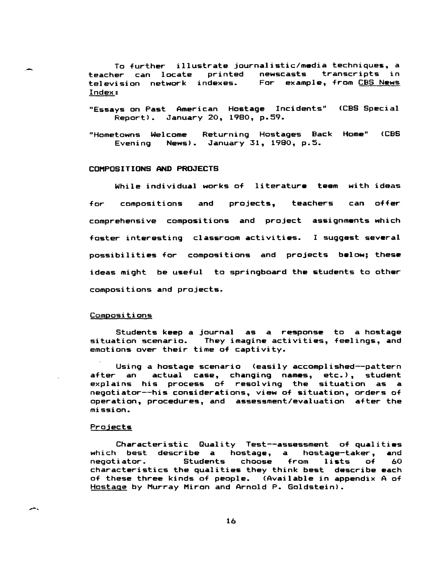To further illustrate journalistic/media techniques, a<br>teacher can locate printed newscasts transcripts in newscasts transcripts in<br>For example, from CBS-News television network indexes. Index:

"Essays on Past American Hostage Incidents" (CBS Special Report). January 20, 1980, p.59.

"Hometowns Welcome Returning Hostages Back Home" (CBS Evening News) • January 31, 1980, p.5.

## COMPOSITIONS AND PROJECTS

While individual works of literature team with ideas for compositions and projects, teachers can offer comprehensive compositions and project assignments which foster interesting classroom activities. I suggest several possibilities for compositions and projects below; these ideas might be useful to springboard the students to other compositions and projects.

### **Compositions**

Students keep a journal as a response to a hostage situation scenario. They imagine activities, feelings, and emotions over their time of captivity.

Using a hostage scenario (easily accomplished--pattern after an actual case, changing names, etc.), student explains his process of resolving the situation as a negotiator--his considerations, view of Situation, orders of operation, procedures, and assessment/evaluation after the mission.

#### Projects

 $\overline{a}$ 

Characteristic Quality Test--assessment of qualities which best describe a hostage, a hostage-taker, and which best destribe a hostage, a hostage-taker, and<br>negotiator. Students choose from lists of 60 negotiator. Students choose from lists of 60<br>characteristics the qualities they think best describe each of these three kinds of people. (Available in appendix A of Hostage by Murray Miron and Arnold P. Goldstein).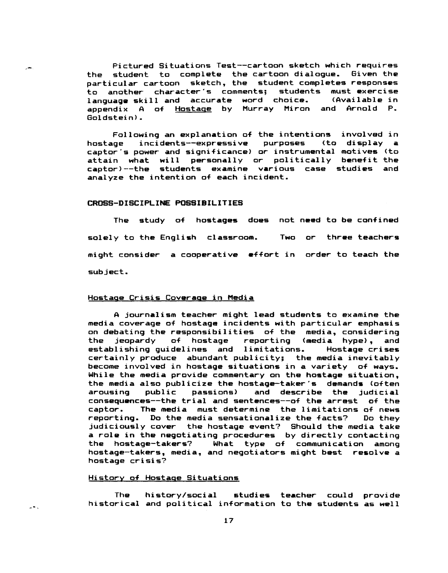.- Pictured Situations Test--cartoon sketch which requires the student to complete the cartoon dialogue. Given the particular cartoon sketch, the student completes responses to another character's comments; students must exercise langu<mark>age skill and</mark> accurate word choice. (Available in<br>appendix A of Hostage by Murray Miron and Arnold P. A of Hostage by Murray Miron and Arnold P. Goldstein>.

> Following an explanation of the intentions<br>uge incidents--expressive purposes (to hostage incidents--expressive captor's power and significance) or instrumental motives (to attain what will personally or politically benefit the captor)--the students examine various case studies and analyze the intention of each incident. involved in display a

### CROSS-DISCIPLINE POSSIBILITIES

The study of hostages does not need to be confined solely to the English classroom. Two or three teachers might consider a cooperative effort in order to teach the subject.

# Hostage Crisis Coverage in Media

A journalism teacher might lead students to examine the media coverage of hostage incidents with particular emphasis on debating the responsibilities of the media, considering<br>the jeopardy of hostage reporting (media hype), and the jeopardy of hostage reporting (media hype), and establishing guidelines and limitations. Hostage crises certainly produce abundant publicity; the media inevitably become involved in hostage situations in a variety of ways. While the media provide commentary on the hostage situation, the media also publicize the hostage-taker's demands (often and describe the judicial consequences--the trial and sentences--of the arrest of the The media must determine the limitations of news<br>. Do the media sensationalize the facts? Do they reporting. Do the media sensationalize the facts? judiciously cover the hostage event? Should the media take a role in the negotiating procedures by directly contacting the hostage-takers? What type of communication among hostage-takers, media, and negotiators might bast resolve a hostage crisis?

#### History of Hostage Situations

 $2.51$ 

The history/social studies teacher could provide historical and political information to the students as well